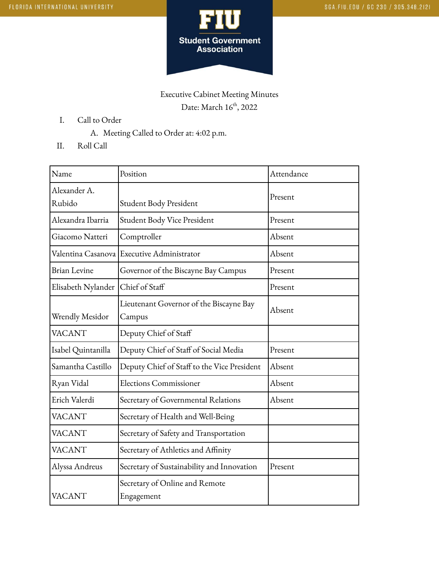

## Executive Cabinet Meeting Minutes Date: March 16<sup>th</sup>, 2022

- I. Call to Order
	- A. Meeting Called to Order at: 4:02 p.m.
- II. Roll Call

| Name                | Position                                     | Attendance |
|---------------------|----------------------------------------------|------------|
| Alexander A.        |                                              | Present    |
| Rubido              | Student Body President                       |            |
| Alexandra Ibarria   | Student Body Vice President                  | Present    |
| Giacomo Natteri     | Comptroller                                  | Absent     |
|                     | Valentina Casanova Executive Administrator   | Absent     |
| <b>Brian Levine</b> | Governor of the Biscayne Bay Campus          | Present    |
| Elisabeth Nylander  | Chief of Staff                               | Present    |
|                     | Lieutenant Governor of the Biscayne Bay      | Absent     |
| Wrendly Mesidor     | Campus                                       |            |
| <b>VACANT</b>       | Deputy Chief of Staff                        |            |
| Isabel Quintanilla  | Deputy Chief of Staff of Social Media        | Present    |
| Samantha Castillo   | Deputy Chief of Staff to the Vice President  | Absent     |
| Ryan Vidal          | <b>Elections Commissioner</b>                | Absent     |
| Erich Valerdi       | Secretary of Governmental Relations          | Absent     |
| <b>VACANT</b>       | Secretary of Health and Well-Being           |            |
| <b>VACANT</b>       | Secretary of Safety and Transportation       |            |
| <b>VACANT</b>       | Secretary of Athletics and Affinity          |            |
| Alyssa Andreus      | Secretary of Sustainability and Innovation   | Present    |
| <b>VACANT</b>       | Secretary of Online and Remote<br>Engagement |            |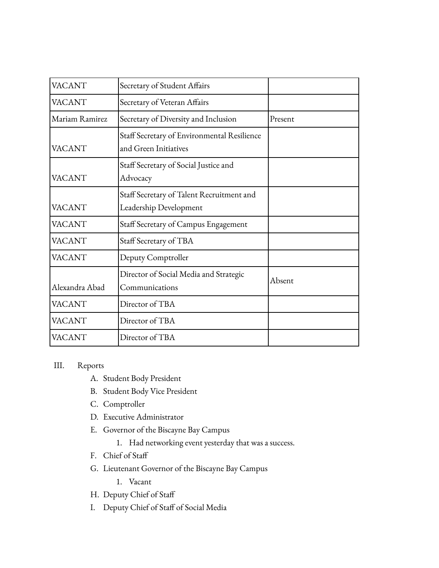| <b>VACANT</b>  | Secretary of Student Affairs                                         |         |
|----------------|----------------------------------------------------------------------|---------|
| VACANT         | Secretary of Veteran Affairs                                         |         |
| Mariam Ramirez | Secretary of Diversity and Inclusion                                 | Present |
| VACANT         | Staff Secretary of Environmental Resilience<br>and Green Initiatives |         |
| <b>VACANT</b>  | Staff Secretary of Social Justice and<br>Advocacy                    |         |
| <b>VACANT</b>  | Staff Secretary of Talent Recruitment and<br>Leadership Development  |         |
| VACANT         | Staff Secretary of Campus Engagement                                 |         |
| VACANT         | Staff Secretary of TBA                                               |         |
| <b>VACANT</b>  | Deputy Comptroller                                                   |         |
| Alexandra Abad | Director of Social Media and Strategic<br>Communications             | Absent  |
| VACANT         | Director of TBA                                                      |         |
| VACANT         | Director of TBA                                                      |         |
| VACANT         | Director of TBA                                                      |         |

## III. Reports

- A. Student Body President
- B. Student Body Vice President
- C. Comptroller
- D. Executive Administrator
- E. Governor of the Biscayne Bay Campus
	- 1. Had networking event yesterday that was a success.
- F. Chief of Staff
- G. Lieutenant Governor of the Biscayne Bay Campus
	- 1. Vacant
- H. Deputy Chief of Staff
- I. Deputy Chief of Staff of Social Media